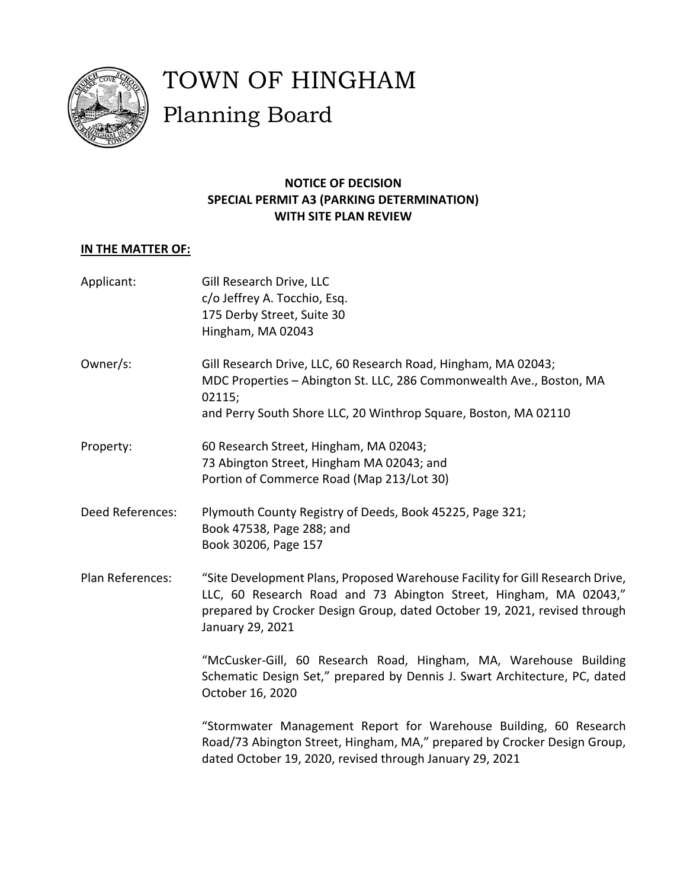

# TOWN OF HINGHAM Planning Board

## **NOTICE OF DECISION SPECIAL PERMIT A3 (PARKING DETERMINATION) WITH SITE PLAN REVIEW**

# **IN THE MATTER OF:**

| Applicant:       | Gill Research Drive, LLC<br>c/o Jeffrey A. Tocchio, Esq.<br>175 Derby Street, Suite 30<br>Hingham, MA 02043                                                                                                                                         |
|------------------|-----------------------------------------------------------------------------------------------------------------------------------------------------------------------------------------------------------------------------------------------------|
| Owner/s:         | Gill Research Drive, LLC, 60 Research Road, Hingham, MA 02043;<br>MDC Properties - Abington St. LLC, 286 Commonwealth Ave., Boston, MA<br>02115;<br>and Perry South Shore LLC, 20 Winthrop Square, Boston, MA 02110                                 |
| Property:        | 60 Research Street, Hingham, MA 02043;<br>73 Abington Street, Hingham MA 02043; and<br>Portion of Commerce Road (Map 213/Lot 30)                                                                                                                    |
| Deed References: | Plymouth County Registry of Deeds, Book 45225, Page 321;<br>Book 47538, Page 288; and<br>Book 30206, Page 157                                                                                                                                       |
| Plan References: | "Site Development Plans, Proposed Warehouse Facility for Gill Research Drive,<br>LLC, 60 Research Road and 73 Abington Street, Hingham, MA 02043,"<br>prepared by Crocker Design Group, dated October 19, 2021, revised through<br>January 29, 2021 |
|                  | "McCusker-Gill, 60 Research Road, Hingham, MA, Warehouse Building<br>Schematic Design Set," prepared by Dennis J. Swart Architecture, PC, dated<br>October 16, 2020                                                                                 |
|                  | "Stormwater Management Report for Warehouse Building, 60 Research<br>Road/73 Abington Street, Hingham, MA," prepared by Crocker Design Group,<br>dated October 19, 2020, revised through January 29, 2021                                           |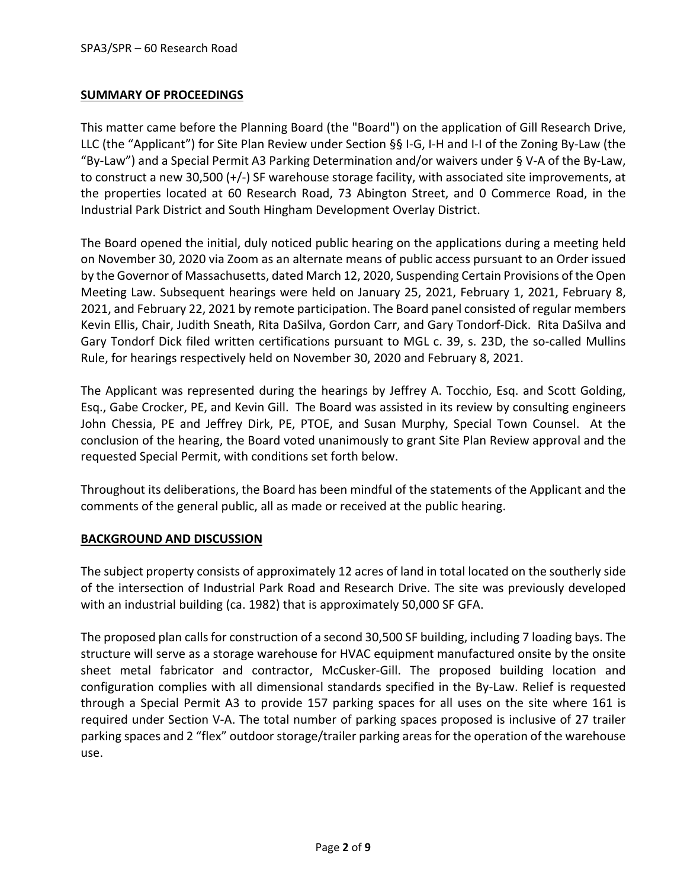## **SUMMARY OF PROCEEDINGS**

This matter came before the Planning Board (the "Board") on the application of Gill Research Drive, LLC (the "Applicant") for Site Plan Review under Section §§ I‐G, I‐H and I‐I of the Zoning By‐Law (the "By‐Law") and a Special Permit A3 Parking Determination and/or waivers under § V‐A of the By‐Law, to construct a new 30,500 (+/‐) SF warehouse storage facility, with associated site improvements, at the properties located at 60 Research Road, 73 Abington Street, and 0 Commerce Road, in the Industrial Park District and South Hingham Development Overlay District.

The Board opened the initial, duly noticed public hearing on the applications during a meeting held on November 30, 2020 via Zoom as an alternate means of public access pursuant to an Order issued by the Governor of Massachusetts, dated March 12, 2020, Suspending Certain Provisions of the Open Meeting Law. Subsequent hearings were held on January 25, 2021, February 1, 2021, February 8, 2021, and February 22, 2021 by remote participation. The Board panel consisted of regular members Kevin Ellis, Chair, Judith Sneath, Rita DaSilva, Gordon Carr, and Gary Tondorf‐Dick. Rita DaSilva and Gary Tondorf Dick filed written certifications pursuant to MGL c. 39, s. 23D, the so-called Mullins Rule, for hearings respectively held on November 30, 2020 and February 8, 2021.

The Applicant was represented during the hearings by Jeffrey A. Tocchio, Esq. and Scott Golding, Esq., Gabe Crocker, PE, and Kevin Gill. The Board was assisted in its review by consulting engineers John Chessia, PE and Jeffrey Dirk, PE, PTOE, and Susan Murphy, Special Town Counsel. At the conclusion of the hearing, the Board voted unanimously to grant Site Plan Review approval and the requested Special Permit, with conditions set forth below.

Throughout its deliberations, the Board has been mindful of the statements of the Applicant and the comments of the general public, all as made or received at the public hearing.

## **BACKGROUND AND DISCUSSION**

The subject property consists of approximately 12 acres of land in total located on the southerly side of the intersection of Industrial Park Road and Research Drive. The site was previously developed with an industrial building (ca. 1982) that is approximately 50,000 SF GFA.

The proposed plan callsfor construction of a second 30,500 SF building, including 7 loading bays. The structure will serve as a storage warehouse for HVAC equipment manufactured onsite by the onsite sheet metal fabricator and contractor, McCusker‐Gill. The proposed building location and configuration complies with all dimensional standards specified in the By-Law. Relief is requested through a Special Permit A3 to provide 157 parking spaces for all uses on the site where 161 is required under Section V‐A. The total number of parking spaces proposed is inclusive of 27 trailer parking spaces and 2 "flex" outdoor storage/trailer parking areas for the operation of the warehouse use.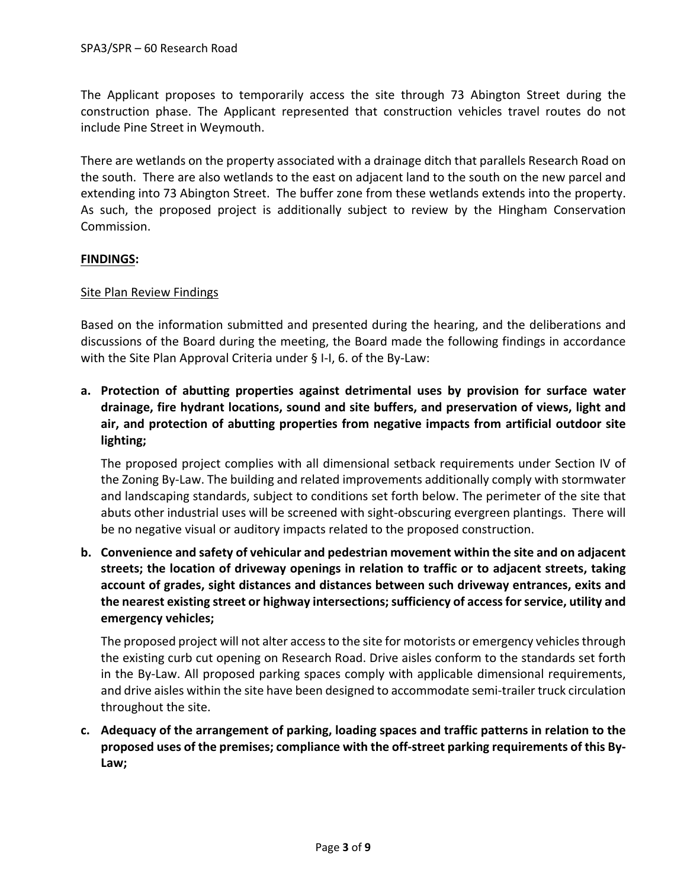The Applicant proposes to temporarily access the site through 73 Abington Street during the construction phase. The Applicant represented that construction vehicles travel routes do not include Pine Street in Weymouth.

There are wetlands on the property associated with a drainage ditch that parallels Research Road on the south. There are also wetlands to the east on adjacent land to the south on the new parcel and extending into 73 Abington Street. The buffer zone from these wetlands extends into the property. As such, the proposed project is additionally subject to review by the Hingham Conservation Commission.

## **FINDINGS:**

## Site Plan Review Findings

Based on the information submitted and presented during the hearing, and the deliberations and discussions of the Board during the meeting, the Board made the following findings in accordance with the Site Plan Approval Criteria under § I‐I, 6. of the By‐Law:

**a. Protection of abutting properties against detrimental uses by provision for surface water drainage, fire hydrant locations, sound and site buffers, and preservation of views, light and air, and protection of abutting properties from negative impacts from artificial outdoor site lighting;**

The proposed project complies with all dimensional setback requirements under Section IV of the Zoning By‐Law. The building and related improvements additionally comply with stormwater and landscaping standards, subject to conditions set forth below. The perimeter of the site that abuts other industrial uses will be screened with sight-obscuring evergreen plantings. There will be no negative visual or auditory impacts related to the proposed construction.

**b. Convenience and safety of vehicular and pedestrian movement within the site and on adjacent streets; the location of driveway openings in relation to traffic or to adjacent streets, taking account of grades, sight distances and distances between such driveway entrances, exits and the nearest existing street or highway intersections;sufficiency of accessforservice, utility and emergency vehicles;**

The proposed project will not alter access to the site for motorists or emergency vehicles through the existing curb cut opening on Research Road. Drive aisles conform to the standards set forth in the By‐Law. All proposed parking spaces comply with applicable dimensional requirements, and drive aisles within the site have been designed to accommodate semi-trailer truck circulation throughout the site.

**c. Adequacy of the arrangement of parking, loading spaces and traffic patterns in relation to the proposed uses of the premises; compliance with the off‐street parking requirements of this By‐ Law;**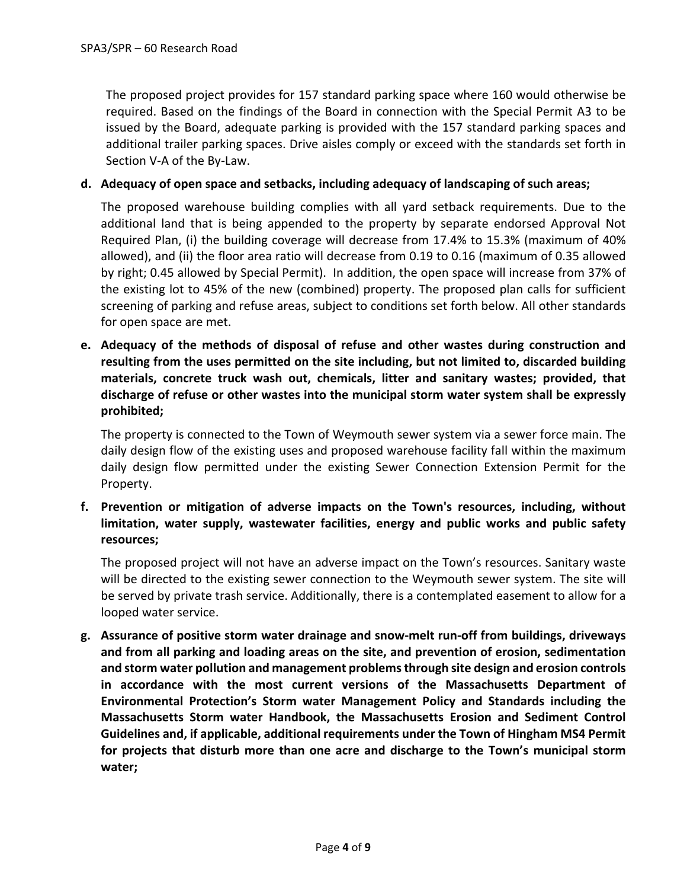The proposed project provides for 157 standard parking space where 160 would otherwise be required. Based on the findings of the Board in connection with the Special Permit A3 to be issued by the Board, adequate parking is provided with the 157 standard parking spaces and additional trailer parking spaces. Drive aisles comply or exceed with the standards set forth in Section V‐A of the By‐Law.

### **d. Adequacy of open space and setbacks, including adequacy of landscaping of such areas;**

The proposed warehouse building complies with all yard setback requirements. Due to the additional land that is being appended to the property by separate endorsed Approval Not Required Plan, (i) the building coverage will decrease from 17.4% to 15.3% (maximum of 40% allowed), and (ii) the floor area ratio will decrease from 0.19 to 0.16 (maximum of 0.35 allowed by right; 0.45 allowed by Special Permit). In addition, the open space will increase from 37% of the existing lot to 45% of the new (combined) property. The proposed plan calls for sufficient screening of parking and refuse areas, subject to conditions set forth below. All other standards for open space are met.

**e. Adequacy of the methods of disposal of refuse and other wastes during construction and resulting from the uses permitted on the site including, but not limited to, discarded building materials, concrete truck wash out, chemicals, litter and sanitary wastes; provided, that discharge of refuse or other wastes into the municipal storm water system shall be expressly prohibited;**

The property is connected to the Town of Weymouth sewer system via a sewer force main. The daily design flow of the existing uses and proposed warehouse facility fall within the maximum daily design flow permitted under the existing Sewer Connection Extension Permit for the Property.

**f. Prevention or mitigation of adverse impacts on the Town's resources, including, without limitation, water supply, wastewater facilities, energy and public works and public safety resources;**

The proposed project will not have an adverse impact on the Town's resources. Sanitary waste will be directed to the existing sewer connection to the Weymouth sewer system. The site will be served by private trash service. Additionally, there is a contemplated easement to allow for a looped water service.

**g. Assurance of positive storm water drainage and snow‐melt run‐off from buildings, driveways and from all parking and loading areas on the site, and prevention of erosion, sedimentation and storm water pollution and management problemsthrough site design and erosion controls in accordance with the most current versions of the Massachusetts Department of Environmental Protection's Storm water Management Policy and Standards including the Massachusetts Storm water Handbook, the Massachusetts Erosion and Sediment Control Guidelines and, if applicable, additional requirements under the Town of Hingham MS4 Permit for projects that disturb more than one acre and discharge to the Town's municipal storm water;**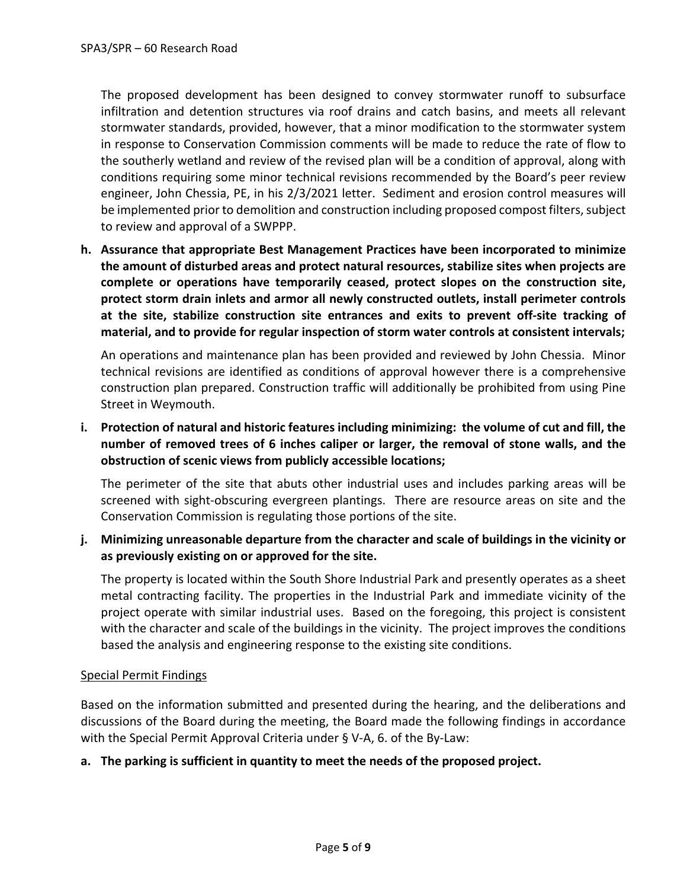The proposed development has been designed to convey stormwater runoff to subsurface infiltration and detention structures via roof drains and catch basins, and meets all relevant stormwater standards, provided, however, that a minor modification to the stormwater system in response to Conservation Commission comments will be made to reduce the rate of flow to the southerly wetland and review of the revised plan will be a condition of approval, along with conditions requiring some minor technical revisions recommended by the Board's peer review engineer, John Chessia, PE, in his 2/3/2021 letter. Sediment and erosion control measures will be implemented prior to demolition and construction including proposed compost filters, subject to review and approval of a SWPPP.

**h. Assurance that appropriate Best Management Practices have been incorporated to minimize the amount of disturbed areas and protect natural resources, stabilize sites when projects are complete or operations have temporarily ceased, protect slopes on the construction site, protect storm drain inlets and armor all newly constructed outlets, install perimeter controls at the site, stabilize construction site entrances and exits to prevent off‐site tracking of material, and to provide for regular inspection of storm water controls at consistent intervals;**

An operations and maintenance plan has been provided and reviewed by John Chessia. Minor technical revisions are identified as conditions of approval however there is a comprehensive construction plan prepared. Construction traffic will additionally be prohibited from using Pine Street in Weymouth.

**i. Protection of natural and historic features including minimizing: the volume of cut and fill, the number of removed trees of 6 inches caliper or larger, the removal of stone walls, and the obstruction of scenic views from publicly accessible locations;**

The perimeter of the site that abuts other industrial uses and includes parking areas will be screened with sight‐obscuring evergreen plantings. There are resource areas on site and the Conservation Commission is regulating those portions of the site.

**j. Minimizing unreasonable departure from the character and scale of buildings in the vicinity or as previously existing on or approved for the site.**

The property is located within the South Shore Industrial Park and presently operates as a sheet metal contracting facility. The properties in the Industrial Park and immediate vicinity of the project operate with similar industrial uses. Based on the foregoing, this project is consistent with the character and scale of the buildings in the vicinity. The project improves the conditions based the analysis and engineering response to the existing site conditions.

## Special Permit Findings

Based on the information submitted and presented during the hearing, and the deliberations and discussions of the Board during the meeting, the Board made the following findings in accordance with the Special Permit Approval Criteria under § V‐A, 6. of the By‐Law:

#### **a. The parking is sufficient in quantity to meet the needs of the proposed project.**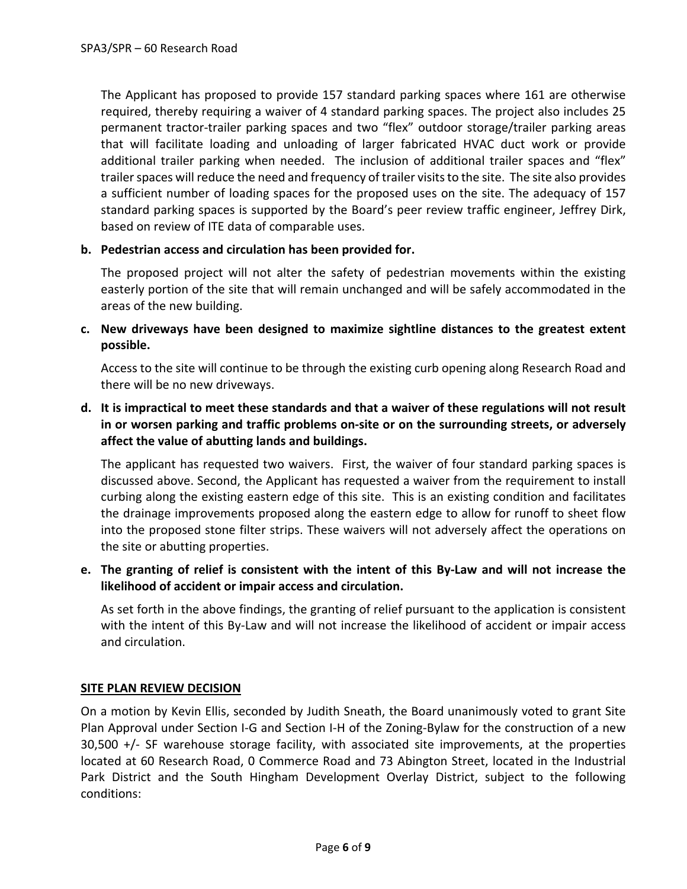The Applicant has proposed to provide 157 standard parking spaces where 161 are otherwise required, thereby requiring a waiver of 4 standard parking spaces. The project also includes 25 permanent tractor‐trailer parking spaces and two "flex" outdoor storage/trailer parking areas that will facilitate loading and unloading of larger fabricated HVAC duct work or provide additional trailer parking when needed. The inclusion of additional trailer spaces and "flex" trailer spaces will reduce the need and frequency of trailer visits to the site. The site also provides a sufficient number of loading spaces for the proposed uses on the site. The adequacy of 157 standard parking spaces is supported by the Board's peer review traffic engineer, Jeffrey Dirk, based on review of ITE data of comparable uses.

#### **b. Pedestrian access and circulation has been provided for.**

The proposed project will not alter the safety of pedestrian movements within the existing easterly portion of the site that will remain unchanged and will be safely accommodated in the areas of the new building.

**c. New driveways have been designed to maximize sightline distances to the greatest extent possible.**

Access to the site will continue to be through the existing curb opening along Research Road and there will be no new driveways.

d. It is impractical to meet these standards and that a waiver of these regulations will not result **in or worsen parking and traffic problems on‐site or on the surrounding streets, or adversely affect the value of abutting lands and buildings.**

The applicant has requested two waivers. First, the waiver of four standard parking spaces is discussed above. Second, the Applicant has requested a waiver from the requirement to install curbing along the existing eastern edge of this site. This is an existing condition and facilitates the drainage improvements proposed along the eastern edge to allow for runoff to sheet flow into the proposed stone filter strips. These waivers will not adversely affect the operations on the site or abutting properties.

## e. The granting of relief is consistent with the intent of this By-Law and will not increase the **likelihood of accident or impair access and circulation.**

As set forth in the above findings, the granting of relief pursuant to the application is consistent with the intent of this By-Law and will not increase the likelihood of accident or impair access and circulation.

#### **SITE PLAN REVIEW DECISION**

On a motion by Kevin Ellis, seconded by Judith Sneath, the Board unanimously voted to grant Site Plan Approval under Section I-G and Section I-H of the Zoning-Bylaw for the construction of a new  $30,500 +$ /- SF warehouse storage facility, with associated site improvements, at the properties located at 60 Research Road, 0 Commerce Road and 73 Abington Street, located in the Industrial Park District and the South Hingham Development Overlay District, subject to the following conditions: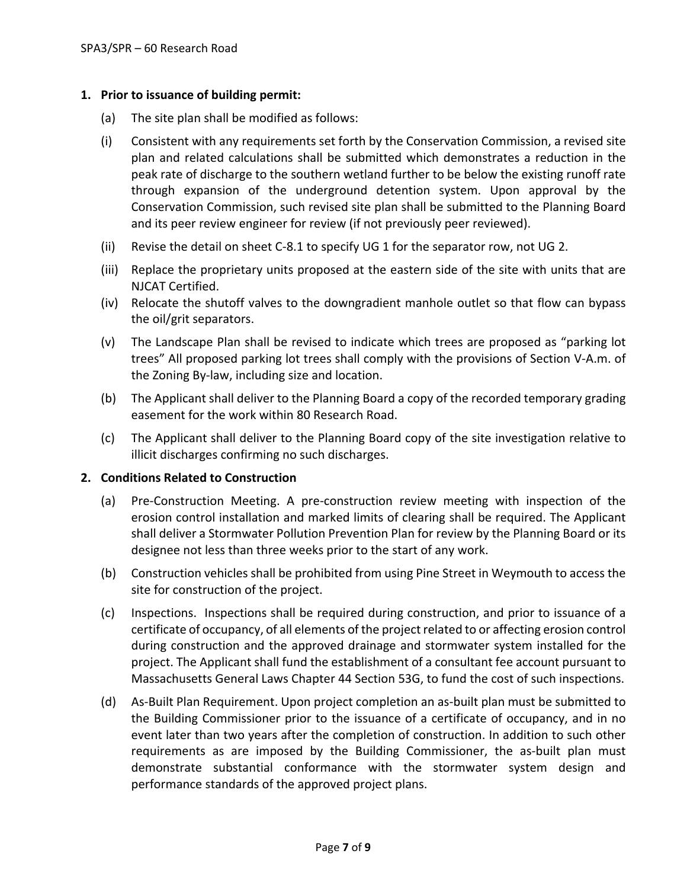#### **1. Prior to issuance of building permit:**

- (a) The site plan shall be modified as follows:
- (i) Consistent with any requirements set forth by the Conservation Commission, a revised site plan and related calculations shall be submitted which demonstrates a reduction in the peak rate of discharge to the southern wetland further to be below the existing runoff rate through expansion of the underground detention system. Upon approval by the Conservation Commission, such revised site plan shall be submitted to the Planning Board and its peer review engineer for review (if not previously peer reviewed).
- (ii) Revise the detail on sheet C‐8.1 to specify UG 1 for the separator row, not UG 2.
- (iii) Replace the proprietary units proposed at the eastern side of the site with units that are NJCAT Certified.
- (iv) Relocate the shutoff valves to the downgradient manhole outlet so that flow can bypass the oil/grit separators.
- (v) The Landscape Plan shall be revised to indicate which trees are proposed as "parking lot trees" All proposed parking lot trees shall comply with the provisions of Section V‐A.m. of the Zoning By‐law, including size and location.
- (b) The Applicant shall deliver to the Planning Board a copy of the recorded temporary grading easement for the work within 80 Research Road.
- (c) The Applicant shall deliver to the Planning Board copy of the site investigation relative to illicit discharges confirming no such discharges.

#### **2. Conditions Related to Construction**

- (a) Pre‐Construction Meeting. A pre‐construction review meeting with inspection of the erosion control installation and marked limits of clearing shall be required. The Applicant shall deliver a Stormwater Pollution Prevention Plan for review by the Planning Board or its designee not less than three weeks prior to the start of any work.
- (b) Construction vehicles shall be prohibited from using Pine Street in Weymouth to access the site for construction of the project.
- (c) Inspections. Inspections shall be required during construction, and prior to issuance of a certificate of occupancy, of all elements of the project related to or affecting erosion control during construction and the approved drainage and stormwater system installed for the project. The Applicant shall fund the establishment of a consultant fee account pursuant to Massachusetts General Laws Chapter 44 Section 53G, to fund the cost of such inspections.
- (d) As‐Built Plan Requirement. Upon project completion an as‐built plan must be submitted to the Building Commissioner prior to the issuance of a certificate of occupancy, and in no event later than two years after the completion of construction. In addition to such other requirements as are imposed by the Building Commissioner, the as-built plan must demonstrate substantial conformance with the stormwater system design and performance standards of the approved project plans.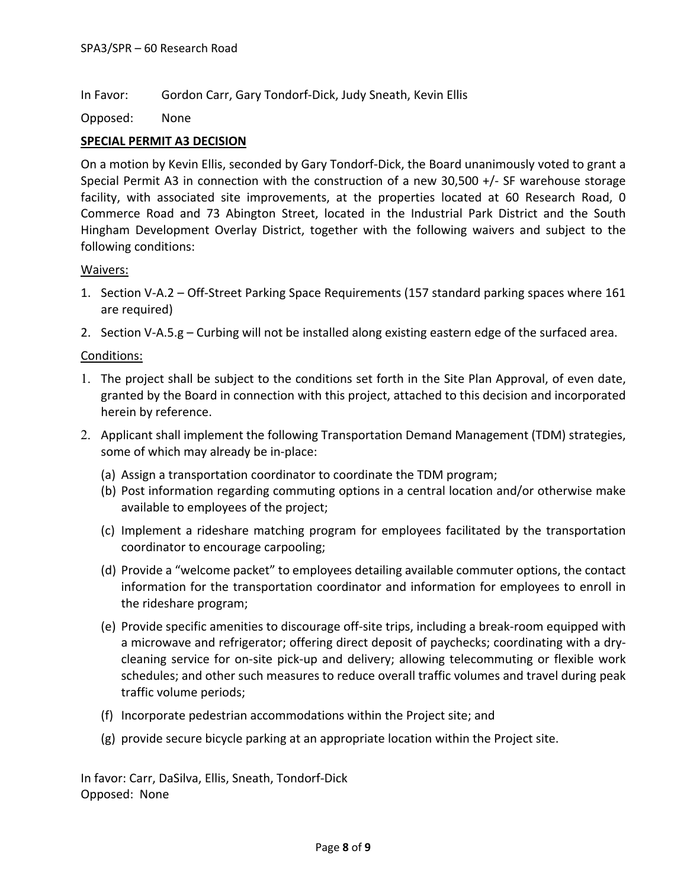In Favor: Gordon Carr, Gary Tondorf‐Dick, Judy Sneath, Kevin Ellis

Opposed: None

#### **SPECIAL PERMIT A3 DECISION**

On a motion by Kevin Ellis, seconded by Gary Tondorf‐Dick, the Board unanimously voted to grant a Special Permit A3 in connection with the construction of a new 30,500 +/- SF warehouse storage facility, with associated site improvements, at the properties located at 60 Research Road, 0 Commerce Road and 73 Abington Street, located in the Industrial Park District and the South Hingham Development Overlay District, together with the following waivers and subject to the following conditions:

#### Waivers:

- 1. Section V‐A.2 Off‐Street Parking Space Requirements (157 standard parking spaces where 161 are required)
- 2. Section V-A.5.g Curbing will not be installed along existing eastern edge of the surfaced area.

#### Conditions:

- 1. The project shall be subject to the conditions set forth in the Site Plan Approval, of even date, granted by the Board in connection with this project, attached to this decision and incorporated herein by reference.
- 2. Applicant shall implement the following Transportation Demand Management (TDM) strategies, some of which may already be in‐place:
	- (a) Assign a transportation coordinator to coordinate the TDM program;
	- (b) Post information regarding commuting options in a central location and/or otherwise make available to employees of the project;
	- (c) Implement a rideshare matching program for employees facilitated by the transportation coordinator to encourage carpooling;
	- (d) Provide a "welcome packet" to employees detailing available commuter options, the contact information for the transportation coordinator and information for employees to enroll in the rideshare program;
	- (e) Provide specific amenities to discourage off‐site trips, including a break‐room equipped with a microwave and refrigerator; offering direct deposit of paychecks; coordinating with a dry‐ cleaning service for on‐site pick‐up and delivery; allowing telecommuting or flexible work schedules; and other such measures to reduce overall traffic volumes and travel during peak traffic volume periods;
	- (f) Incorporate pedestrian accommodations within the Project site; and
	- (g) provide secure bicycle parking at an appropriate location within the Project site.

In favor: Carr, DaSilva, Ellis, Sneath, Tondorf‐Dick Opposed: None